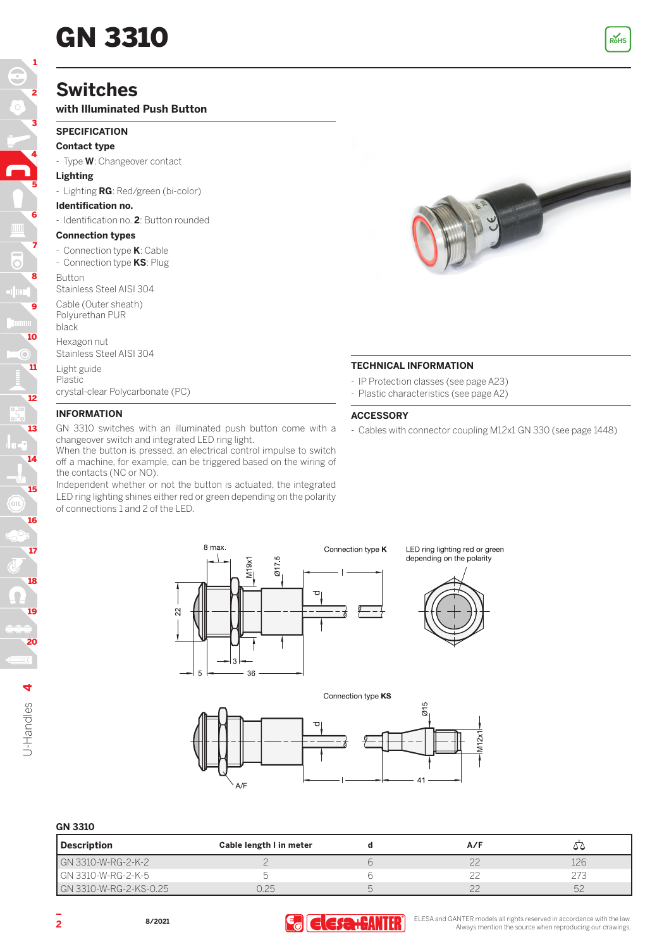# **GN 3310** Rots **Ref**

# **Switches**

### **with Illuminated Push Button**

#### **SPECIFICATION**

## **Contact type**

- Type **W**: Changeover contact

#### **Lighting**

5

4

3

2

1

- Lighting **RG**: Red/green (bi-color)

#### **Identification no.**

- Identification no. **2**: Button rounded

#### **Connection types**

- Connection type **K**: Cable
- Connection type **KS**: Plug

Button Stainless Steel AISI 304

Cable (Outer sheath)

Polyurethan PUR black

Hexagon nut Stainless Steel AISI 304

Light guide Plastic

crystal-clear Polycarbonate (PC)

#### **INFORMATION**

GN 3310 switches with an illuminated push button come with a changeover switch and integrated LED ring light.

When the button is pressed, an electrical control impulse to switch off a machine, for example, can be triggered based on the wiring of the contacts (NC or NO).

Independent whether or not the button is actuated, the integrated LED ring lighting shines either red or green depending on the polarity of connections 1 and 2 of the LED.



#### **TECHNICAL INFORMATION**

- IP Protection classes (see page A23)
- Plastic characteristics (see page A2)

#### **ACCESSORY**

- Cables with connector coupling M12x1 GN 330 (see page 1448)



LED ring lighting red or green depending on the polarity



#### Connection type KS



#### **GN 3310**

| Description            | Cable length I in meter | A/F    |     |
|------------------------|-------------------------|--------|-----|
| GN 3310-W-RG-2-K-2     |                         |        | L26 |
| l GN 3310-W-RG-2-K-5   |                         |        |     |
| GN 3310-W-RG-2-KS-0.25 |                         | $\sim$ | 52  |



**ELESA** and GANTER models all rights reserved in accordance with the law. **2 2 Always mention the source when reproducing** our drawings.